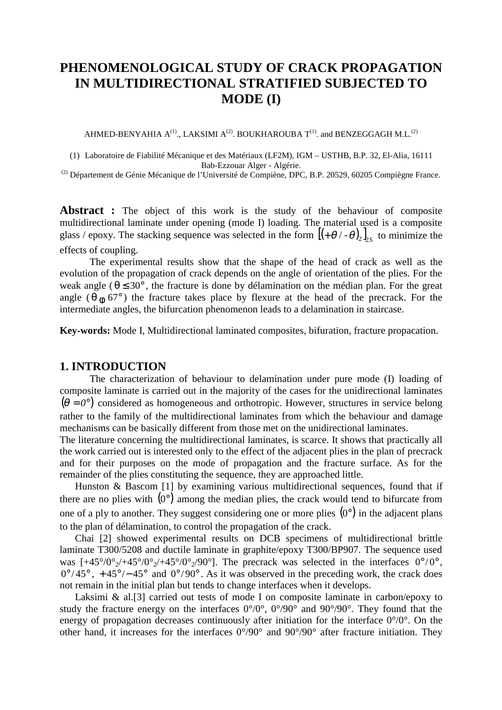# **PHENOMENOLOGICAL STUDY OF CRACK PROPAGATION IN MULTIDIRECTIONAL STRATIFIED SUBJECTED TO MODE (I)**

AHMED-BENYAHIA  $A^{(1)}$ ., LAKSIMI  $A^{(2)}$ . BOUKHAROUBA  $T^{(1)}$ . and BENZEGGAGH M.L.<sup>(2)</sup>

(1) Laboratoire de Fiabilité Mécanique et des Matériaux (LF2M), IGM – USTHB, B.P. 32, El-Alia, 16111 Bab-Ezzouar Alger - Algérie.

(2) Département de Génie Mécanique de l'Université de Compiène, DPC, B.P. 20529, 60205 Compiègne France.

Abstract : The object of this work is the study of the behaviour of composite multidirectional laminate under opening (mode I) loading. The material used is a composite glass / epoxy. The stacking sequence was selected in the form  $[(+\theta/-\theta)_2]_{s}$  to minimize the effects of coupling.

The experimental results show that the shape of the head of crack as well as the evolution of the propagation of crack depends on the angle of orientation of the plies. For the weak angle ( $\theta \leq 30^{\circ}$ , the fracture is done by délamination on the médian plan. For the great angle ( $\theta$   $\phi$  67°) the fracture takes place by flexure at the head of the precrack. For the intermediate angles, the bifurcation phenomenon leads to a delamination in staircase.

**Key-words:** Mode I, Multidirectional laminated composites, bifuration, fracture propacation.

### **1. INTRODUCTION**

The characterization of behaviour to delamination under pure mode (I) loading of composite laminate is carried out in the majority of the cases for the unidirectional laminates  $(\theta = 0^{\circ})$  considered as homogeneous and orthotropic. However, structures in service belong rather to the family of the multidirectional laminates from which the behaviour and damage mechanisms can be basically different from those met on the unidirectional laminates.

The literature concerning the multidirectional laminates, is scarce. It shows that practically all the work carried out is interested only to the effect of the adjacent plies in the plan of precrack and for their purposes on the mode of propagation and the fracture surface. As for the remainder of the plies constituting the sequence, they are approached little.

Hunston & Bascom [1] by examining various multidirectional sequences, found that if there are no plies with  $(0^{\circ})$  among the median plies, the crack would tend to bifurcate from one of a ply to another. They suggest considering one or more plies  $(0^{\circ})$  in the adjacent plans to the plan of délamination, to control the propagation of the crack.

Chai [2] showed experimental results on DCB specimens of multidirectional brittle laminate T300/5208 and ductile laminate in graphite/epoxy T300/BP907. The sequence used was  $[+45^{\circ}/0^{\circ}/+45^{\circ}/0^{\circ}/+45^{\circ}/0^{\circ}/90^{\circ}]$ . The precrack was selected in the interfaces  $0^{\circ}/0^{\circ}$ ,  $0^{\circ}/45^{\circ}$ , +45°/-45° and  $0^{\circ}/90^{\circ}$ . As it was observed in the preceding work, the crack does not remain in the initial plan but tends to change interfaces when it develops.

Laksimi & al.[3] carried out tests of mode I on composite laminate in carbon/epoxy to study the fracture energy on the interfaces  $0^{\circ}/0^{\circ}$ ,  $0^{\circ}/90^{\circ}$  and  $90^{\circ}/90^{\circ}$ . They found that the energy of propagation decreases continuously after initiation for the interface  $0^{\circ}/0^{\circ}$ . On the other hand, it increases for the interfaces 0°/90° and 90°/90° after fracture initiation. They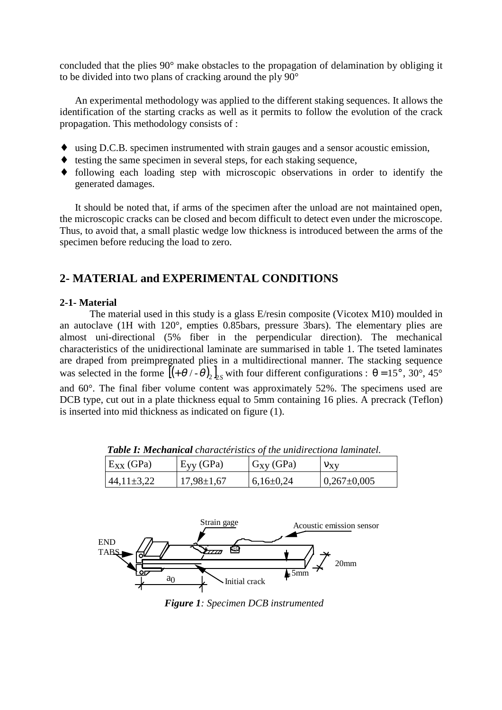concluded that the plies 90° make obstacles to the propagation of delamination by obliging it to be divided into two plans of cracking around the ply 90°

An experimental methodology was applied to the different staking sequences. It allows the identification of the starting cracks as well as it permits to follow the evolution of the crack propagation. This methodology consists of :

- ♦ using D.C.B. specimen instrumented with strain gauges and a sensor acoustic emission,
- ♦ testing the same specimen in several steps, for each staking sequence,
- ♦ following each loading step with microscopic observations in order to identify the generated damages.

It should be noted that, if arms of the specimen after the unload are not maintained open, the microscopic cracks can be closed and becom difficult to detect even under the microscope. Thus, to avoid that, a small plastic wedge low thickness is introduced between the arms of the specimen before reducing the load to zero.

### **2- MATERIAL and EXPERIMENTAL CONDITIONS**

### **2-1- Material**

The material used in this study is a glass E/resin composite (Vicotex M10) moulded in an autoclave (1H with 120°, empties 0.85bars, pressure 3bars). The elementary plies are almost uni-directional (5% fiber in the perpendicular direction). The mechanical characteristics of the unidirectional laminate are summarised in table 1. The tseted laminates are draped from preimpregnated plies in a multidirectional manner. The stacking sequence was selected in the forme  $[(+\theta/-\theta)_2]_{\text{S}}$  with four different configurations :  $\theta = 15^\circ$ , 30°, 45° and 60°. The final fiber volume content was approximately 52%. The specimens used are DCB type, cut out in a plate thickness equal to 5mm containing 16 plies. A precrack (Teflon) is inserted into mid thickness as indicated on figure (1).

| $E_{XX}$ (GPa) | $E_{yy}$ (GPa)   | $G_{xy}$ (GPa) | $v_{xy}$         |
|----------------|------------------|----------------|------------------|
| $44,11\pm3,22$ | $17,98 \pm 1,67$ | $6,16\pm0.24$  | $ 0,267\pm0,005$ |

*Table I: Mechanical charactéristics of the unidirectiona laminatel.*



*Figure 1: Specimen DCB instrumented*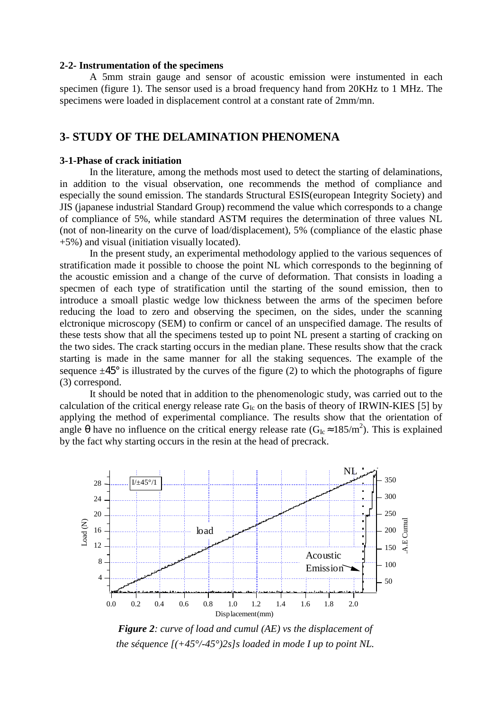#### **2-2- Instrumentation of the specimens**

A 5mm strain gauge and sensor of acoustic emission were instumented in each specimen (figure 1). The sensor used is a broad frequency hand from 20KHz to 1 MHz. The specimens were loaded in displacement control at a constant rate of 2mm/mn.

## **3- STUDY OF THE DELAMINATION PHENOMENA**

#### **3-1-Phase of crack initiation**

In the literature, among the methods most used to detect the starting of delaminations, in addition to the visual observation, one recommends the method of compliance and especially the sound emission. The standards Structural ESIS(european Integrity Society) and JIS (japanese industrial Standard Group) recommend the value which corresponds to a change of compliance of 5%, while standard ASTM requires the determination of three values NL (not of non-linearity on the curve of load/displacement), 5% (compliance of the elastic phase +5%) and visual (initiation visually located).

In the present study, an experimental methodology applied to the various sequences of stratification made it possible to choose the point NL which corresponds to the beginning of the acoustic emission and a change of the curve of deformation. That consists in loading a specmen of each type of stratification until the starting of the sound emission, then to introduce a smoall plastic wedge low thickness between the arms of the specimen before reducing the load to zero and observing the specimen, on the sides, under the scanning elctronique microscopy (SEM) to confirm or cancel of an unspecified damage. The results of these tests show that all the specimens tested up to point NL present a starting of cracking on the two sides. The crack starting occurs in the median plane. These results show that the crack starting is made in the same manner for all the staking sequences. The example of the sequence  $\pm 45^{\circ}$  is illustrated by the curves of the figure (2) to which the photographs of figure (3) correspond.

It should be noted that in addition to the phenomenologic study, was carried out to the calculation of the critical energy release rate  $G_{Ic}$  on the basis of theory of IRWIN-KIES [5] by applying the method of experimental compliance. The results show that the orientation of angle  $\theta$  have no influence on the critical energy release rate  $(G_{Ic} \approx 185/m^2)$ . This is explained by the fact why starting occurs in the resin at the head of precrack.



*Figure 2: curve of load and cumul (AE) vs the displacement of the séquence [(+45°/-45°)2s]s loaded in mode I up to point NL.*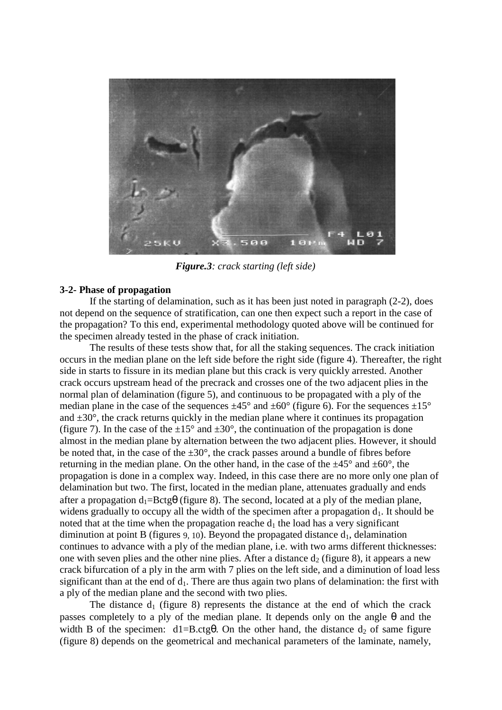

*Figure.3: crack starting (left side)*

### **3-2- Phase of propagation**

If the starting of delamination, such as it has been just noted in paragraph (2-2), does not depend on the sequence of stratification, can one then expect such a report in the case of the propagation? To this end, experimental methodology quoted above will be continued for the specimen already tested in the phase of crack initiation.

The results of these tests show that, for all the staking sequences. The crack initiation occurs in the median plane on the left side before the right side (figure 4). Thereafter, the right side in starts to fissure in its median plane but this crack is very quickly arrested. Another crack occurs upstream head of the precrack and crosses one of the two adjacent plies in the normal plan of delamination (figure 5), and continuous to be propagated with a ply of the median plane in the case of the sequences  $\pm 45^{\circ}$  and  $\pm 60^{\circ}$  (figure 6). For the sequences  $\pm 15^{\circ}$ and  $\pm 30^{\circ}$ , the crack returns quickly in the median plane where it continues its propagation (figure 7). In the case of the  $\pm 15^{\circ}$  and  $\pm 30^{\circ}$ , the continuation of the propagation is done almost in the median plane by alternation between the two adjacent plies. However, it should be noted that, in the case of the  $\pm 30^{\circ}$ , the crack passes around a bundle of fibres before returning in the median plane. On the other hand, in the case of the  $\pm 45^{\circ}$  and  $\pm 60^{\circ}$ , the propagation is done in a complex way. Indeed, in this case there are no more only one plan of delamination but two. The first, located in the median plane, attenuates gradually and ends after a propagation  $d_1 = Bctg\theta$  (figure 8). The second, located at a ply of the median plane, widens gradually to occupy all the width of the specimen after a propagation  $d_1$ . It should be noted that at the time when the propagation reache  $d_1$  the load has a very significant diminution at point B (figures 9, 10). Beyond the propagated distance  $d_1$ , delamination continues to advance with a ply of the median plane, i.e. with two arms different thicknesses: one with seven plies and the other nine plies. After a distance  $d_2$  (figure 8), it appears a new crack bifurcation of a ply in the arm with 7 plies on the left side, and a diminution of load less significant than at the end of  $d_1$ . There are thus again two plans of delamination: the first with a ply of the median plane and the second with two plies.

The distance  $d_1$  (figure 8) represents the distance at the end of which the crack passes completely to a ply of the median plane. It depends only on the angle  $\theta$  and the width B of the specimen:  $d1=B.ctg\theta$ . On the other hand, the distance  $d_2$  of same figure (figure 8) depends on the geometrical and mechanical parameters of the laminate, namely,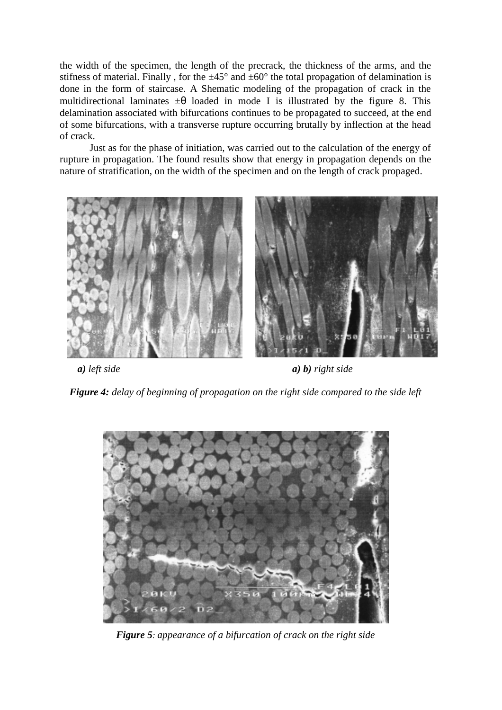the width of the specimen, the length of the precrack, the thickness of the arms, and the stifness of material. Finally, for the  $\pm 45^{\circ}$  and  $\pm 60^{\circ}$  the total propagation of delamination is done in the form of staircase. A Shematic modeling of the propagation of crack in the multidirectional laminates  $\pm \theta$  loaded in mode I is illustrated by the figure 8. This delamination associated with bifurcations continues to be propagated to succeed, at the end of some bifurcations, with a transverse rupture occurring brutally by inflection at the head of crack.

Just as for the phase of initiation, was carried out to the calculation of the energy of rupture in propagation. The found results show that energy in propagation depends on the nature of stratification, on the width of the specimen and on the length of crack propaged.



*a) left side a) b) right side*

*Figure 4: delay of beginning of propagation on the right side compared to the side left*



*Figure 5: appearance of a bifurcation of crack on the right side*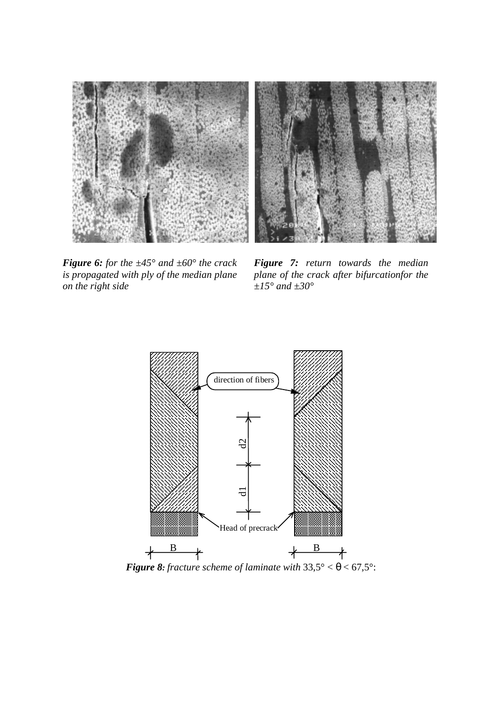



*Figure 6: for the ±45° and ±60° the crack is propagated with ply of the median plane on the right side*

*Figure 7: return towards the median plane of the crack after bifurcationfor the ±15° and ±30°*



*Figure 8: fracture scheme of laminate with*  $33.5^{\circ} < \theta < 67.5^{\circ}$ :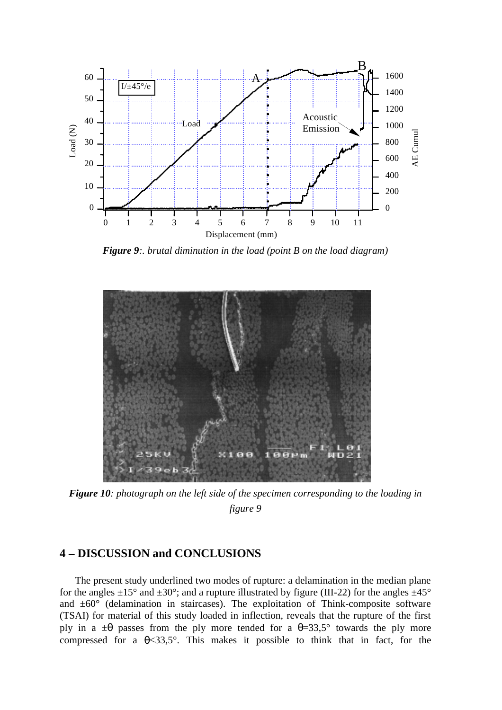

*Figure 9:. brutal diminution in the load (point B on the load diagram)*



*Figure 10: photograph on the left side of the specimen corresponding to the loading in figure 9*

## **4 – DISCUSSION and CONCLUSIONS**

The present study underlined two modes of rupture: a delamination in the median plane for the angles  $\pm 15^{\circ}$  and  $\pm 30^{\circ}$ ; and a rupture illustrated by figure (III-22) for the angles  $\pm 45^{\circ}$ and  $\pm 60^\circ$  (delamination in staircases). The exploitation of Think-composite software (TSAI) for material of this study loaded in inflection, reveals that the rupture of the first ply in a  $\pm\theta$  passes from the ply more tended for a  $\theta = 33.5^{\circ}$  towards the ply more compressed for a  $\theta$ <33,5°. This makes it possible to think that in fact, for the